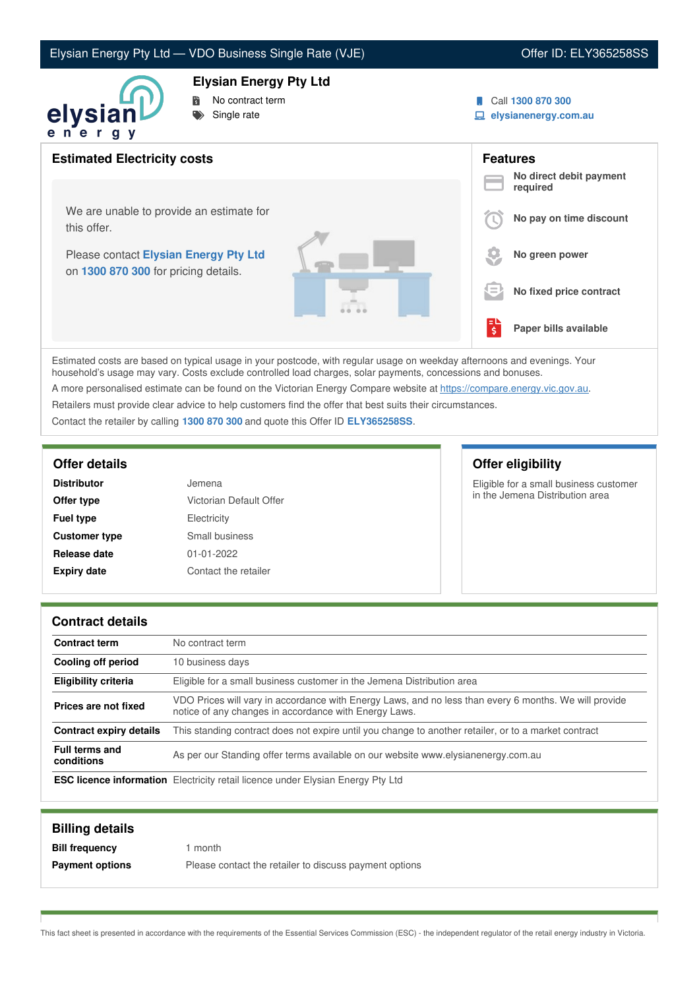# Elysian Energy Pty Ltd — VDO Business Single Rate (VJE) Contract Contract Contract Contract Contract Contract Contract Contract Contract Contract Contract Contract Contract Contract Contract Contract Contract Contract Cont

### **Elysian Energy Pty Ltd**



- No contract term
- Single rate
- Call **1300 870 300**
- **elysianenergy.com.au**

| <b>Estimated Electricity costs</b>                                            |    | <b>Features</b><br>No direct debit payment |
|-------------------------------------------------------------------------------|----|--------------------------------------------|
|                                                                               |    | required                                   |
| We are unable to provide an estimate for<br>this offer.                       |    | No pay on time discount                    |
| Please contact Elysian Energy Pty Ltd<br>on 1300 870 300 for pricing details. |    | No green power                             |
|                                                                               | E  | No fixed price contract                    |
|                                                                               | ्ड | Paper bills available                      |

Estimated costs are based on typical usage in your postcode, with regular usage on weekday afternoons and evenings. Your household's usage may vary. Costs exclude controlled load charges, solar payments, concessions and bonuses.

A more personalised estimate can be found on the Victorian Energy Compare website at <https://compare.energy.vic.gov.au>.

Retailers must provide clear advice to help customers find the offer that best suits their circumstances.

Contact the retailer by calling **1300 870 300** and quote this Offer ID **ELY365258SS**.

| <b>Distributor</b>   | Jemena                  |
|----------------------|-------------------------|
| Offer type           | Victorian Default Offer |
| <b>Fuel type</b>     | Electricity             |
| <b>Customer type</b> | Small business          |
| Release date         | 01-01-2022              |
| <b>Expiry date</b>   | Contact the retailer    |

### **Offer details Offer eligibility**

Eligible for a small business customer in the Jemena Distribution area

### **Contract details**

| <b>Contract term</b>           | No contract term                                                                                                                                               |
|--------------------------------|----------------------------------------------------------------------------------------------------------------------------------------------------------------|
| Cooling off period             | 10 business days                                                                                                                                               |
| <b>Eligibility criteria</b>    | Eligible for a small business customer in the Jemena Distribution area                                                                                         |
| Prices are not fixed           | VDO Prices will vary in accordance with Energy Laws, and no less than every 6 months. We will provide<br>notice of any changes in accordance with Energy Laws. |
| <b>Contract expiry details</b> | This standing contract does not expire until you change to another retailer, or to a market contract                                                           |
| Full terms and<br>conditions   | As per our Standing offer terms available on our website www.elysianenergy.com.au                                                                              |
|                                | <b>ESC licence information</b> Electricity retail licence under Elysian Energy Pty Ltd                                                                         |

| <b>Billing details</b> |                                                        |
|------------------------|--------------------------------------------------------|
| <b>Bill frequency</b>  | month                                                  |
| <b>Payment options</b> | Please contact the retailer to discuss payment options |